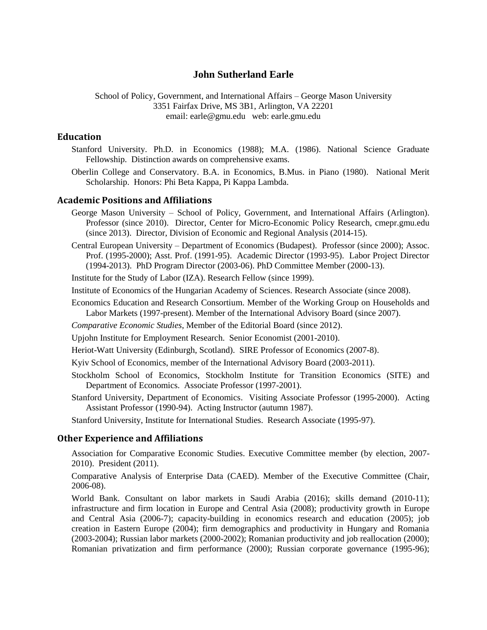## **John Sutherland Earle**

School of Policy, Government, and International Affairs – George Mason University 3351 Fairfax Drive, MS 3B1, Arlington, VA 22201 email: earle@gmu.edu web: earle.gmu.edu

### **Education**

- Stanford University. Ph.D. in Economics (1988); M.A. (1986). National Science Graduate Fellowship. Distinction awards on comprehensive exams.
- Oberlin College and Conservatory. B.A. in Economics, B.Mus. in Piano (1980). National Merit Scholarship. Honors: Phi Beta Kappa, Pi Kappa Lambda.

### **Academic Positions and Affiliations**

- George Mason University School of Policy, Government, and International Affairs (Arlington). Professor (since 2010). Director, Center for Micro-Economic Policy Research, cmepr.gmu.edu (since 2013). Director, Division of Economic and Regional Analysis (2014-15).
- Central European University Department of Economics (Budapest). Professor (since 2000); Assoc. Prof. (1995-2000); Asst. Prof. (1991-95). Academic Director (1993-95). Labor Project Director (1994-2013). PhD Program Director (2003-06). PhD Committee Member (2000-13).

Institute for the Study of Labor (IZA). Research Fellow (since 1999).

Institute of Economics of the Hungarian Academy of Sciences. Research Associate (since 2008).

- Economics Education and Research Consortium. Member of the Working Group on Households and Labor Markets (1997-present). Member of the International Advisory Board (since 2007).
- *Comparative Economic Studies*, Member of the Editorial Board (since 2012).
- Upjohn Institute for Employment Research. Senior Economist (2001-2010).
- Heriot-Watt University (Edinburgh, Scotland). SIRE Professor of Economics (2007-8).
- Kyiv School of Economics, member of the International Advisory Board (2003-2011).
- Stockholm School of Economics, Stockholm Institute for Transition Economics (SITE) and Department of Economics. Associate Professor (1997-2001).
- Stanford University, Department of Economics. Visiting Associate Professor (1995-2000). Acting Assistant Professor (1990-94). Acting Instructor (autumn 1987).

Stanford University, Institute for International Studies. Research Associate (1995-97).

#### **Other Experience and Affiliations**

Association for Comparative Economic Studies. Executive Committee member (by election, 2007- 2010). President (2011).

Comparative Analysis of Enterprise Data (CAED). Member of the Executive Committee (Chair, 2006-08).

World Bank. Consultant on labor markets in Saudi Arabia (2016); skills demand (2010-11); infrastructure and firm location in Europe and Central Asia (2008); productivity growth in Europe and Central Asia (2006-7); capacity-building in economics research and education (2005); job creation in Eastern Europe (2004); firm demographics and productivity in Hungary and Romania (2003-2004); Russian labor markets (2000-2002); Romanian productivity and job reallocation (2000); Romanian privatization and firm performance (2000); Russian corporate governance (1995-96);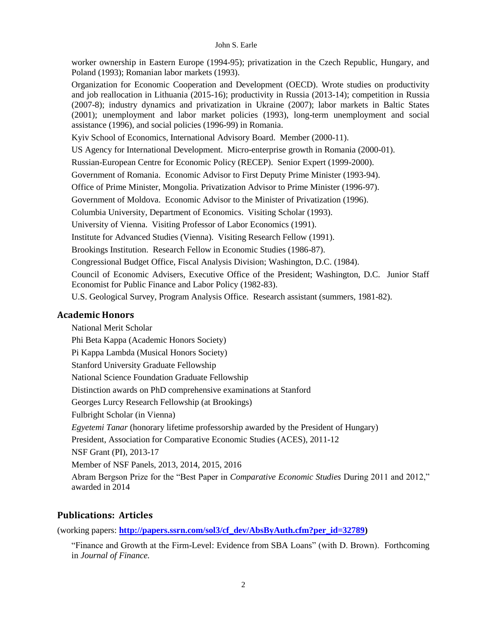worker ownership in Eastern Europe (1994-95); privatization in the Czech Republic, Hungary, and Poland (1993); Romanian labor markets (1993).

Organization for Economic Cooperation and Development (OECD). Wrote studies on productivity and job reallocation in Lithuania (2015-16); productivity in Russia (2013-14); competition in Russia (2007-8); industry dynamics and privatization in Ukraine (2007); labor markets in Baltic States (2001); unemployment and labor market policies (1993), long-term unemployment and social assistance (1996), and social policies (1996-99) in Romania.

Kyiv School of Economics, International Advisory Board. Member (2000-11).

US Agency for International Development. Micro-enterprise growth in Romania (2000-01).

Russian-European Centre for Economic Policy (RECEP). Senior Expert (1999-2000).

Government of Romania. Economic Advisor to First Deputy Prime Minister (1993-94).

Office of Prime Minister, Mongolia. Privatization Advisor to Prime Minister (1996-97).

Government of Moldova. Economic Advisor to the Minister of Privatization (1996).

Columbia University, Department of Economics. Visiting Scholar (1993).

University of Vienna. Visiting Professor of Labor Economics (1991).

Institute for Advanced Studies (Vienna). Visiting Research Fellow (1991).

Brookings Institution. Research Fellow in Economic Studies (1986-87).

Congressional Budget Office, Fiscal Analysis Division; Washington, D.C. (1984).

Council of Economic Advisers, Executive Office of the President; Washington, D.C. Junior Staff Economist for Public Finance and Labor Policy (1982-83).

U.S. Geological Survey, Program Analysis Office. Research assistant (summers, 1981-82).

## **Academic Honors**

National Merit Scholar Phi Beta Kappa (Academic Honors Society) Pi Kappa Lambda (Musical Honors Society) Stanford University Graduate Fellowship National Science Foundation Graduate Fellowship Distinction awards on PhD comprehensive examinations at Stanford Georges Lurcy Research Fellowship (at Brookings) Fulbright Scholar (in Vienna) *Egyetemi Tanar* (honorary lifetime professorship awarded by the President of Hungary) President, Association for Comparative Economic Studies (ACES), 2011-12 NSF Grant (PI), 2013-17 Member of NSF Panels, 2013, 2014, 2015, 2016 Abram Bergson Prize for the "Best Paper in *Comparative Economic Studies* During 2011 and 2012," awarded in 2014

# **Publications: Articles**

(working papers: **[http://papers.ssrn.com/sol3/cf\\_dev/AbsByAuth.cfm?per\\_id=32789\)](http://papers.ssrn.com/sol3/cf_dev/AbsByAuth.cfm?per_id=32789)**

"Finance and Growth at the Firm-Level: Evidence from SBA Loans" (with D. Brown). Forthcoming in *Journal of Finance.*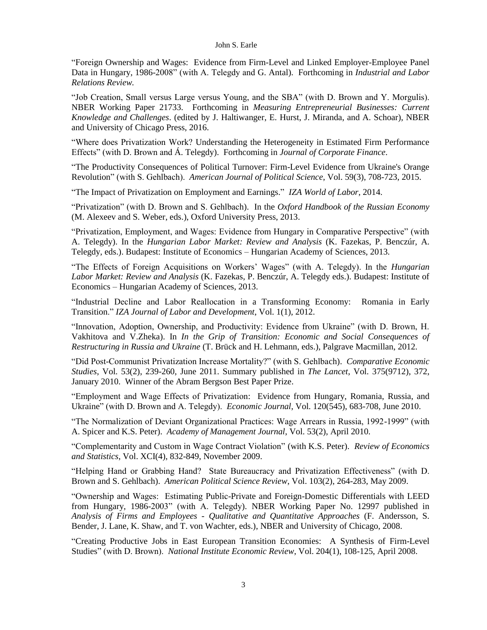"Foreign Ownership and Wages: Evidence from Firm-Level and Linked Employer-Employee Panel Data in Hungary, 1986-2008" (with A. Telegdy and G. Antal). Forthcoming in *Industrial and Labor Relations Review.*

"Job Creation, Small versus Large versus Young, and the SBA" (with D. Brown and Y. Morgulis). NBER Working Paper 21733. Forthcoming in *Measuring Entrepreneurial Businesses: Current Knowledge and Challenges*. (edited by J. Haltiwanger, E. Hurst, J. Miranda, and A. Schoar), NBER and University of Chicago Press, 2016.

"Where does Privatization Work? Understanding the Heterogeneity in Estimated Firm Performance Effects" (with D. Brown and Á. Telegdy). Forthcoming in *Journal of Corporate Finance*.

"The Productivity Consequences of Political Turnover: Firm-Level Evidence from Ukraine's Orange Revolution" (with S. Gehlbach). *American Journal of Political Science*, Vol. 59(3), 708-723, 2015.

"The Impact of Privatization on Employment and Earnings." *IZA World of Labor*, 2014.

"Privatization" (with D. Brown and S. Gehlbach). In the *Oxford Handbook of the Russian Economy* (M. Alexeev and S. Weber, eds.), Oxford University Press, 2013.

"Privatization, Employment, and Wages: Evidence from Hungary in Comparative Perspective" (with A. Telegdy). In the *Hungarian Labor Market: Review and Analysis* (K. Fazekas, P. Benczúr, A. Telegdy, eds.). Budapest: Institute of Economics – Hungarian Academy of Sciences, 2013.

"The Effects of Foreign Acquisitions on Workers' Wages" (with A. Telegdy). In the *Hungarian Labor Market: Review and Analysis* (K. Fazekas, P. Benczúr, A. Telegdy eds.). Budapest: Institute of Economics – Hungarian Academy of Sciences, 2013.

"Industrial Decline and Labor Reallocation in a Transforming Economy: Romania in Early Transition." *IZA Journal of Labor and Development*, Vol. 1(1), 2012.

"Innovation, Adoption, Ownership, and Productivity: Evidence from Ukraine" (with D. Brown, H. Vakhitova and V.Zheka). In *In the Grip of Transition: Economic and Social Consequences of Restructuring in Russia and Ukraine* [\(T. Brück](http://www.palgrave.com/products/Search.aspx?auID=32855) and [H. Lehmann,](http://www.palgrave.com/products/Search.aspx?auID=32856) eds.), Palgrave Macmillan, 2012.

"Did Post-Communist Privatization Increase Mortality?" (with S. Gehlbach). *Comparative Economic Studies*, Vol. 53(2), 239-260, June 2011. Summary published in *The Lancet*, Vol. 375(9712), 372, January 2010. Winner of the Abram Bergson Best Paper Prize.

"Employment and Wage Effects of Privatization: Evidence from Hungary, Romania, Russia, and Ukraine" (with D. Brown and A. Telegdy). *Economic Journal*, Vol. 120(545), 683-708, June 2010.

"The Normalization of Deviant Organizational Practices: Wage Arrears in Russia, 1992-1999" (with A. Spicer and K.S. Peter). *Academy of Management Journal*, Vol. 53(2), April 2010.

"Complementarity and Custom in Wage Contract Violation" (with K.S. Peter). *Review of Economics and Statistics*, Vol. XCI(4), 832-849, November 2009.

"Helping Hand or Grabbing Hand? State Bureaucracy and Privatization Effectiveness" (with D. Brown and S. Gehlbach). *American Political Science Review*, Vol. 103(2), 264-283, May 2009.

"Ownership and Wages: Estimating Public-Private and Foreign-Domestic Differentials with LEED from Hungary, 1986-2003" (with A. Telegdy). NBER Working Paper No. 12997 published in *Analysis of Firms and Employees - Qualitative and Quantitative Approaches* (F. Andersson, S. Bender, J. Lane, K. Shaw, and T. von Wachter, eds.), NBER and University of Chicago, 2008.

"Creating Productive Jobs in East European Transition Economies: A Synthesis of Firm-Level Studies" (with D. Brown). *National Institute Economic Review*, Vol. 204(1), 108-125, April 2008.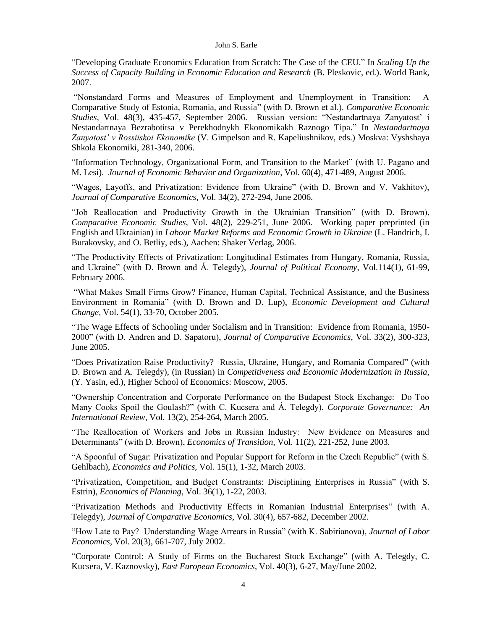"Developing Graduate Economics Education from Scratch: The Case of the CEU." In *Scaling Up the Success of Capacity Building in Economic Education and Research* (B. Pleskovic, ed.). World Bank, 2007.

"Nonstandard Forms and Measures of Employment and Unemployment in Transition: A Comparative Study of Estonia, Romania, and Russia" (with D. Brown et al.). *Comparative Economic Studies*, Vol. 48(3), 435-457, September 2006. Russian version: "Nestandartnaya Zanyatost' i Nestandartnaya Bezrabotitsa v Perekhodnykh Ekonomikakh Raznogo Tipa." In *Nestandartnaya Zanyatost' v Rossiiskoi Ekonomike* (V. Gimpelson and R. Kapeliushnikov, eds.) Moskva: Vyshshaya Shkola Ekonomiki, 281-340, 2006.

"Information Technology, Organizational Form, and Transition to the Market" (with U. Pagano and M. Lesi). *Journal of Economic Behavior and Organization*, Vol. 60(4), 471-489, August 2006.

"Wages, Layoffs, and Privatization: Evidence from Ukraine" (with D. Brown and V. Vakhitov), *Journal of Comparative Economics*, Vol. 34(2), 272-294, June 2006.

"Job Reallocation and Productivity Growth in the Ukrainian Transition" (with D. Brown), *Comparative Economic Studies*, Vol. 48(2), 229-251, June 2006. Working paper preprinted (in English and Ukrainian) in *Labour Market Reforms and Economic Growth in Ukraine* (L. Handrich, I. Burakovsky, and O. Betliy, eds.), Aachen: Shaker Verlag, 2006.

"The Productivity Effects of Privatization: Longitudinal Estimates from Hungary, Romania, Russia, and Ukraine" (with D. Brown and Á. Telegdy), *Journal of Political Economy*, Vol.114(1), 61-99, February 2006.

"What Makes Small Firms Grow? Finance, Human Capital, Technical Assistance, and the Business Environment in Romania" (with D. Brown and D. Lup), *Economic Development and Cultural Change*, Vol. 54(1), 33-70, October 2005.

"The Wage Effects of Schooling under Socialism and in Transition: Evidence from Romania, 1950- 2000" (with D. Andren and D. Sapatoru), *Journal of Comparative Economics*, Vol. 33(2), 300-323, June 2005.

"Does Privatization Raise Productivity? Russia, Ukraine, Hungary, and Romania Compared" (with D. Brown and A. Telegdy), (in Russian) in *Competitiveness and Economic Modernization in Russia*, (Y. Yasin, ed.), Higher School of Economics: Moscow, 2005.

"Ownership Concentration and Corporate Performance on the Budapest Stock Exchange: Do Too Many Cooks Spoil the Goulash?" (with C. Kucsera and Á. Telegdy), *Corporate Governance: An International Review*, Vol. 13(2), 254-264, March 2005*.*

"The Reallocation of Workers and Jobs in Russian Industry: New Evidence on Measures and Determinants" (with D. Brown), *Economics of Transition*, Vol. 11(2), 221-252, June 2003.

"A Spoonful of Sugar: Privatization and Popular Support for Reform in the Czech Republic" (with S. Gehlbach), *Economics and Politics,* Vol. 15(1), 1-32, March 2003.

"Privatization, Competition, and Budget Constraints: Disciplining Enterprises in Russia" (with S. Estrin), *Economics of Planning*, Vol. 36(1), 1-22, 2003.

"Privatization Methods and Productivity Effects in Romanian Industrial Enterprises" (with A. Telegdy), *Journal of Comparative Economics*, Vol. 30(4), 657-682, December 2002.

"How Late to Pay? Understanding Wage Arrears in Russia" (with K. Sabirianova), *Journal of Labor Economics*, Vol. 20(3), 661-707, July 2002.

"Corporate Control: A Study of Firms on the Bucharest Stock Exchange" (with A. Telegdy, C. Kucsera, V. Kaznovsky), *East European Economics*, Vol. 40(3), 6-27, May/June 2002.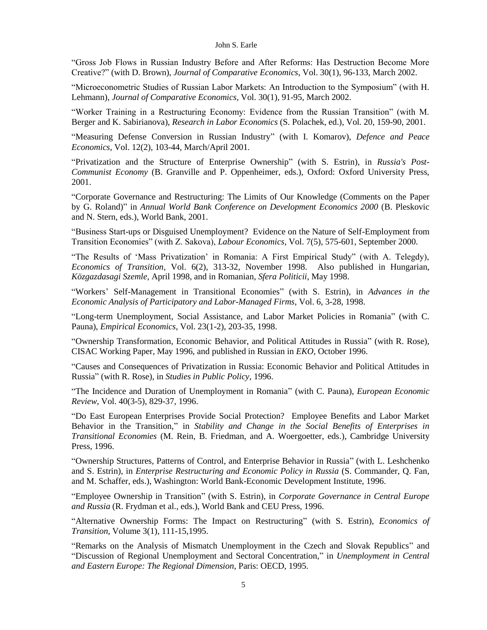"Gross Job Flows in Russian Industry Before and After Reforms: Has Destruction Become More Creative?" (with D. Brown), *Journal of Comparative Economics*, Vol. 30(1), 96-133, March 2002.

"Microeconometric Studies of Russian Labor Markets: An Introduction to the Symposium" (with H. Lehmann), *Journal of Comparative Economics*, Vol. 30(1), 91-95, March 2002.

"Worker Training in a Restructuring Economy: Evidence from the Russian Transition" (with M. Berger and K. Sabirianova), *Research in Labor Economics* (S. Polachek, ed.), Vol. 20, 159-90, 2001.

"Measuring Defense Conversion in Russian Industry" (with I. Komarov), *Defence and Peace Economics*, Vol. 12(2), 103-44, March/April 2001.

"Privatization and the Structure of Enterprise Ownership" (with S. Estrin), in *Russia's Post-Communist Economy* (B. Granville and P. Oppenheimer, eds.), Oxford: Oxford University Press, 2001.

"Corporate Governance and Restructuring: The Limits of Our Knowledge (Comments on the Paper by G. Roland)" in *Annual World Bank Conference on Development Economics 2000* (B. Pleskovic and N. Stern, eds.), World Bank, 2001.

"Business Start-ups or Disguised Unemployment? Evidence on the Nature of Self-Employment from Transition Economies" (with Z. Sakova), *Labour Economics,* Vol. 7(5), 575-601, September 2000.

"The Results of 'Mass Privatization' in Romania: A First Empirical Study" (with A. Telegdy), *Economics of Transition,* Vol. 6(2), 313-32, November 1998. Also published in Hungarian, *Közgazdasagi Szemle*, April 1998, and in Romanian, *Sfera Politicii*, May 1998.

"Workers' Self-Management in Transitional Economies" (with S. Estrin), in *Advances in the Economic Analysis of Participatory and Labor-Managed Firms*, Vol. 6, 3-28, 1998.

"Long-term Unemployment, Social Assistance, and Labor Market Policies in Romania" (with C. Pauna), *Empirical Economics*, Vol. 23(1-2), 203-35, 1998.

"Ownership Transformation, Economic Behavior, and Political Attitudes in Russia" (with R. Rose), CISAC Working Paper, May 1996, and published in Russian in *EKO*, October 1996.

"Causes and Consequences of Privatization in Russia: Economic Behavior and Political Attitudes in Russia" (with R. Rose), in *Studies in Public Policy*, 1996.

"The Incidence and Duration of Unemployment in Romania" (with C. Pauna), *European Economic Review*, Vol. 40(3-5), 829-37, 1996.

"Do East European Enterprises Provide Social Protection? Employee Benefits and Labor Market Behavior in the Transition," in *Stability and Change in the Social Benefits of Enterprises in Transitional Economies* (M. Rein, B. Friedman, and A. Woergoetter, eds.), Cambridge University Press, 1996.

"Ownership Structures, Patterns of Control, and Enterprise Behavior in Russia" (with L. Leshchenko and S. Estrin), in *Enterprise Restructuring and Economic Policy in Russia* (S. Commander, Q. Fan, and M. Schaffer, eds.), Washington: World Bank-Economic Development Institute, 1996.

"Employee Ownership in Transition" (with S. Estrin), in *Corporate Governance in Central Europe and Russia* (R. Frydman et al., eds.), World Bank and CEU Press, 1996.

"Alternative Ownership Forms: The Impact on Restructuring" (with S. Estrin), *Economics of Transition*, Volume 3(1), 111-15,1995.

"Remarks on the Analysis of Mismatch Unemployment in the Czech and Slovak Republics" and "Discussion of Regional Unemployment and Sectoral Concentration," in *Unemployment in Central and Eastern Europe: The Regional Dimension*, Paris: OECD, 1995.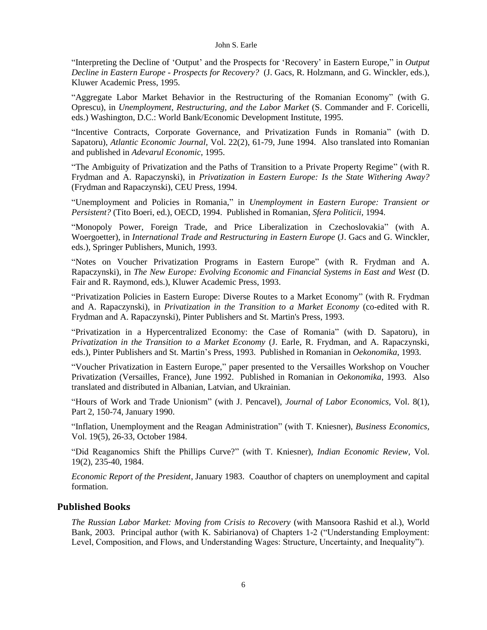"Interpreting the Decline of 'Output' and the Prospects for 'Recovery' in Eastern Europe," in *Output Decline in Eastern Europe - Prospects for Recovery?* (J. Gacs, R. Holzmann, and G. Winckler, eds.), Kluwer Academic Press, 1995.

"Aggregate Labor Market Behavior in the Restructuring of the Romanian Economy" (with G. Oprescu), in *Unemployment, Restructuring, and the Labor Market* (S. Commander and F. Coricelli, eds.) Washington, D.C.: World Bank/Economic Development Institute, 1995.

"Incentive Contracts, Corporate Governance, and Privatization Funds in Romania" (with D. Sapatoru), *Atlantic Economic Journal*, Vol. 22(2), 61-79, June 1994. Also translated into Romanian and published in *Adevarul Economic*, 1995.

"The Ambiguity of Privatization and the Paths of Transition to a Private Property Regime" (with R. Frydman and A. Rapaczynski), in *Privatization in Eastern Europe: Is the State Withering Away?* (Frydman and Rapaczynski), CEU Press, 1994.

"Unemployment and Policies in Romania," in *Unemployment in Eastern Europe: Transient or Persistent?* (Tito Boeri, ed.), OECD, 1994. Published in Romanian, *Sfera Politicii*, 1994.

"Monopoly Power, Foreign Trade, and Price Liberalization in Czechoslovakia" (with A. Woergoetter), in *International Trade and Restructuring in Eastern Europe* (J. Gacs and G. Winckler, eds.), Springer Publishers, Munich, 1993.

"Notes on Voucher Privatization Programs in Eastern Europe" (with R. Frydman and A. Rapaczynski), in *The New Europe: Evolving Economic and Financial Systems in East and West* (D. Fair and R. Raymond, eds.), Kluwer Academic Press, 1993.

"Privatization Policies in Eastern Europe: Diverse Routes to a Market Economy" (with R. Frydman and A. Rapaczynski), in *Privatization in the Transition to a Market Economy* (co-edited with R. Frydman and A. Rapaczynski), Pinter Publishers and St. Martin's Press, 1993.

"Privatization in a Hypercentralized Economy: the Case of Romania" (with D. Sapatoru), in *Privatization in the Transition to a Market Economy* (J. Earle, R. Frydman, and A. Rapaczynski, eds.), Pinter Publishers and St. Martin's Press, 1993. Published in Romanian in *Oekonomika*, 1993.

"Voucher Privatization in Eastern Europe," paper presented to the Versailles Workshop on Voucher Privatization (Versailles, France), June 1992. Published in Romanian in *Oekonomika*, 1993. Also translated and distributed in Albanian, Latvian, and Ukrainian.

"Hours of Work and Trade Unionism" (with J. Pencavel), *Journal of Labor Economics,* Vol. 8(1), Part 2, 150-74, January 1990.

"Inflation, Unemployment and the Reagan Administration" (with T. Kniesner), *Business Economics,* Vol. 19(5), 26-33, October 1984.

"Did Reaganomics Shift the Phillips Curve?" (with T. Kniesner), *Indian Economic Review,* Vol. 19(2), 235-40, 1984.

*Economic Report of the President*, January 1983. Coauthor of chapters on unemployment and capital formation.

## **Published Books**

*The Russian Labor Market: Moving from Crisis to Recovery* (with Mansoora Rashid et al.), World Bank, 2003. Principal author (with K. Sabirianova) of Chapters 1-2 ("Understanding Employment: Level, Composition, and Flows, and Understanding Wages: Structure, Uncertainty, and Inequality").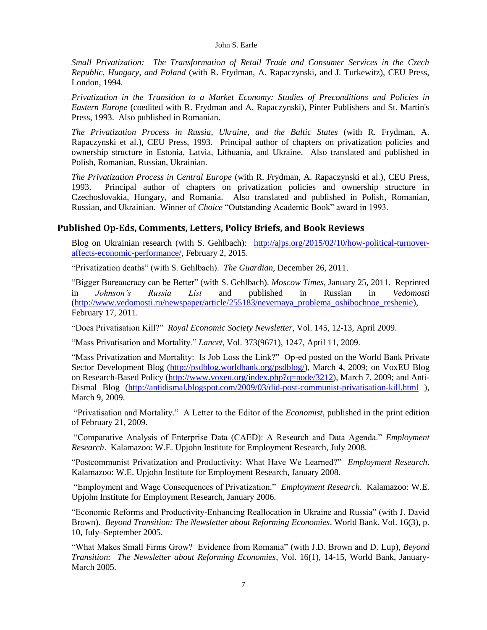*Small Privatization: The Transformation of Retail Trade and Consumer Services in the Czech Republic, Hungary, and Poland* (with R. Frydman, A. Rapaczynski, and J. Turkewitz), CEU Press, London, 1994.

*Privatization in the Transition to a Market Economy: Studies of Preconditions and Policies in Eastern Europe* (coedited with R. Frydman and A. Rapaczynski), Pinter Publishers and St. Martin's Press, 1993. Also published in Romanian.

*The Privatization Process in Russia, Ukraine, and the Baltic States* (with R. Frydman, A. Rapaczynski et al.), CEU Press, 1993. Principal author of chapters on privatization policies and ownership structure in Estonia, Latvia, Lithuania, and Ukraine. Also translated and published in Polish, Romanian, Russian, Ukrainian.

*The Privatization Process in Central Europe* (with R. Frydman, A. Rapaczynski et al.), CEU Press, 1993. Principal author of chapters on privatization policies and ownership structure in Czechoslovakia, Hungary, and Romania. Also translated and published in Polish, Romanian, Russian, and Ukrainian. Winner of *Choice* "Outstanding Academic Book" award in 1993.

### **Published Op-Eds, Comments, Letters, Policy Briefs, and Book Reviews**

Blog on Ukrainian research (with S. Gehlbach): [http://ajps.org/2015/02/10/how-political-turnover](http://ajps.org/2015/02/10/how-political-turnover-affects-economic-performance/)[affects-economic-performance/,](http://ajps.org/2015/02/10/how-political-turnover-affects-economic-performance/) February 2, 2015.

"Privatization deaths" (with S. Gehlbach). *The Guardian*, December 26, 2011.

"Bigger Bureaucracy can be Better" (with S. Gehlbach). *Moscow Times*, January 25, 2011. Reprinted in *Johnson's Russia List* and published in Russian in *Vedomosti* [\(http://www.vedomosti.ru/newspaper/article/255183/nevernaya\\_problema\\_oshibochnoe\\_reshenie\)](http://www.vedomosti.ru/newspaper/article/255183/nevernaya_problema_oshibochnoe_reshenie), February 17, 2011*.*

"Does Privatisation Kill?" *Royal Economic Society Newsletter*, Vol. 145, 12-13, April 2009.

"Mass Privatisation and Mortality." *Lancet*, Vol. 373(9671), 1247, April 11, 2009.

"Mass Privatization and Mortality: Is Job Loss the Link?" Op-ed posted on the World Bank Private Sector Development Blog [\(http://psdblog.worldbank.org/psdblog/\)](http://psdblog.worldbank.org/psdblog/), March 4, 2009; on VoxEU Blog on Research-Based Policy [\(http://www.voxeu.org/index.php?q=node/3212\)](http://www.voxeu.org/index.php?q=node/3212), March 7, 2009; and Anti-Dismal Blog [\(http://antidismal.blogspot.com/2009/03/did-post-communist-privatisation-kill.html](http://antidismal.blogspot.com/2009/03/did-post-communist-privatisation-kill.html) ), March 9, 2009.

"Privatisation and Mortality." A Letter to the Editor of the *Economist*, published in the print edition of February 21, 2009.

"Comparative Analysis of Enterprise Data (CAED): A Research and Data Agenda." *Employment Research*. Kalamazoo: W.E. Upjohn Institute for Employment Research, July 2008.

"Postcommunist Privatization and Productivity: What Have We Learned?" *Employment Research*. Kalamazoo: W.E. Upjohn Institute for Employment Research, January 2008.

"Employment and Wage Consequences of Privatization." *Employment Research*. Kalamazoo: W.E. Upjohn Institute for Employment Research, January 2006.

"Economic Reforms and Productivity-Enhancing Reallocation in Ukraine and Russia" (with J. David Brown). *Beyond Transition: The Newsletter about Reforming Economies*. World Bank. Vol. 16(3), p. 10, July–September 2005.

"What Makes Small Firms Grow? Evidence from Romania" (with J.D. Brown and D. Lup), *Beyond Transition: The Newsletter about Reforming Economies*, Vol. 16(1), 14-15, World Bank, January-March 2005.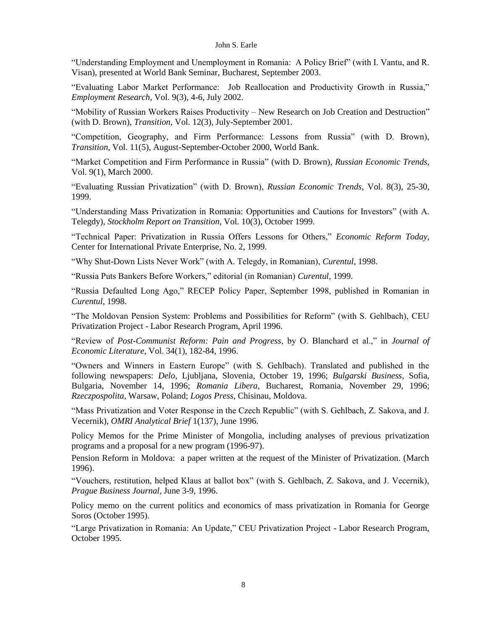"Understanding Employment and Unemployment in Romania: A Policy Brief" (with I. Vantu, and R. Visan), presented at World Bank Seminar, Bucharest, September 2003.

"Evaluating Labor Market Performance: Job Reallocation and Productivity Growth in Russia," *Employment Research*, Vol. 9(3), 4-6, July 2002.

"Mobility of Russian Workers Raises Productivity – New Research on Job Creation and Destruction" (with D. Brown), *Transition*, Vol. 12(3), July-September 2001.

"Competition, Geography, and Firm Performance: Lessons from Russia" (with D. Brown), *Transition*, Vol. 11(5), August-September-October 2000, World Bank.

"Market Competition and Firm Performance in Russia" (with D. Brown), *Russian Economic Trends*, Vol. 9(1), March 2000.

"Evaluating Russian Privatization" (with D. Brown), *Russian Economic Trends*, Vol. 8(3), 25-30, 1999.

"Understanding Mass Privatization in Romania: Opportunities and Cautions for Investors" (with A. Telegdy), *Stockholm Report on Transition*, Vol. 10(3), October 1999.

"Technical Paper: Privatization in Russia Offers Lessons for Others," *Economic Reform Today*, Center for International Private Enterprise, No. 2, 1999.

"Why Shut-Down Lists Never Work" (with A. Telegdy, in Romanian), *Curentul*, 1998.

"Russia Puts Bankers Before Workers," editorial (in Romanian) *Curentul*, 1999.

"Russia Defaulted Long Ago," RECEP Policy Paper, September 1998, published in Romanian in *Curentul*, 1998.

"The Moldovan Pension System: Problems and Possibilities for Reform" (with S. Gehlbach), CEU Privatization Project - Labor Research Program, April 1996.

"Review of *Post-Communist Reform: Pain and Progress*, by O. Blanchard et al.," in *Journal of Economic Literature*, Vol. 34(1), 182-84, 1996.

"Owners and Winners in Eastern Europe" (with S. Gehlbach). Translated and published in the following newspapers: *Delo*, Ljubljana, Slovenia, October 19, 1996; *Bulgarski Business*, Sofia, Bulgaria, November 14, 1996; *Romania Libera*, Bucharest, Romania, November 29, 1996; *Rzeczpospolita*, Warsaw, Poland; *Logos Press*, Chisinau, Moldova.

"Mass Privatization and Voter Response in the Czech Republic" (with S. Gehlbach, Z. Sakova, and J. Vecernik), *OMRI Analytical Brief* 1(137), June 1996.

Policy Memos for the Prime Minister of Mongolia, including analyses of previous privatization programs and a proposal for a new program (1996-97).

Pension Reform in Moldova: a paper written at the request of the Minister of Privatization. (March 1996).

"Vouchers, restitution, helped Klaus at ballot box" (with S. Gehlbach, Z. Sakova, and J. Vecernik), *Prague Business Journal*, June 3-9, 1996.

Policy memo on the current politics and economics of mass privatization in Romania for George Soros (October 1995).

"Large Privatization in Romania: An Update," CEU Privatization Project - Labor Research Program, October 1995.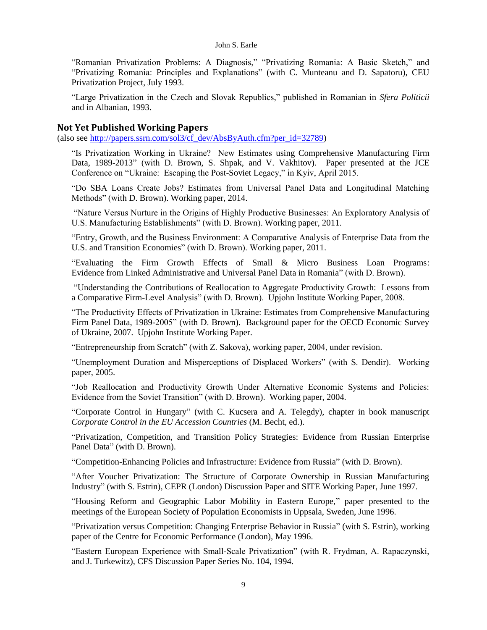"Romanian Privatization Problems: A Diagnosis," "Privatizing Romania: A Basic Sketch," and "Privatizing Romania: Principles and Explanations" (with C. Munteanu and D. Sapatoru), CEU Privatization Project, July 1993.

"Large Privatization in the Czech and Slovak Republics," published in Romanian in *Sfera Politicii* and in Albanian, 1993.

### **Not Yet Published Working Papers**

(also see [http://papers.ssrn.com/sol3/cf\\_dev/AbsByAuth.cfm?per\\_id=32789\)](http://papers.ssrn.com/sol3/cf_dev/AbsByAuth.cfm?per_id=32789)

"Is Privatization Working in Ukraine? New Estimates using Comprehensive Manufacturing Firm Data, 1989-2013" (with D. Brown, S. Shpak, and V. Vakhitov). Paper presented at the JCE Conference on "Ukraine: Escaping the Post-Soviet Legacy," in Kyiv, April 2015.

"Do SBA Loans Create Jobs? Estimates from Universal Panel Data and Longitudinal Matching Methods" (with D. Brown). Working paper, 2014.

"Nature Versus Nurture in the Origins of Highly Productive Businesses: An Exploratory Analysis of U.S. Manufacturing Establishments" (with D. Brown). Working paper, 2011.

"Entry, Growth, and the Business Environment: A Comparative Analysis of Enterprise Data from the U.S. and Transition Economies" (with D. Brown). Working paper, 2011.

"Evaluating the Firm Growth Effects of Small & Micro Business Loan Programs: Evidence from Linked Administrative and Universal Panel Data in Romania" (with D. Brown).

"Understanding the Contributions of Reallocation to Aggregate Productivity Growth: Lessons from a Comparative Firm-Level Analysis" (with D. Brown). Upjohn Institute Working Paper, 2008.

"The Productivity Effects of Privatization in Ukraine: Estimates from Comprehensive Manufacturing Firm Panel Data, 1989-2005" (with D. Brown). Background paper for the OECD Economic Survey of Ukraine, 2007. Upjohn Institute Working Paper.

"Entrepreneurship from Scratch" (with Z. Sakova), working paper, 2004, under revision.

"Unemployment Duration and Misperceptions of Displaced Workers" (with S. Dendir). Working paper, 2005.

"Job Reallocation and Productivity Growth Under Alternative Economic Systems and Policies: Evidence from the Soviet Transition" (with D. Brown). Working paper, 2004.

"Corporate Control in Hungary" (with C. Kucsera and A. Telegdy), chapter in book manuscript *Corporate Control in the EU Accession Countries* (M. Becht, ed.).

"Privatization, Competition, and Transition Policy Strategies: Evidence from Russian Enterprise Panel Data" (with D. Brown).

"Competition-Enhancing Policies and Infrastructure: Evidence from Russia" (with D. Brown).

"After Voucher Privatization: The Structure of Corporate Ownership in Russian Manufacturing Industry" (with S. Estrin), CEPR (London) Discussion Paper and SITE Working Paper, June 1997.

"Housing Reform and Geographic Labor Mobility in Eastern Europe," paper presented to the meetings of the European Society of Population Economists in Uppsala, Sweden, June 1996.

"Privatization versus Competition: Changing Enterprise Behavior in Russia" (with S. Estrin), working paper of the Centre for Economic Performance (London), May 1996.

"Eastern European Experience with Small-Scale Privatization" (with R. Frydman, A. Rapaczynski, and J. Turkewitz), CFS Discussion Paper Series No. 104, 1994.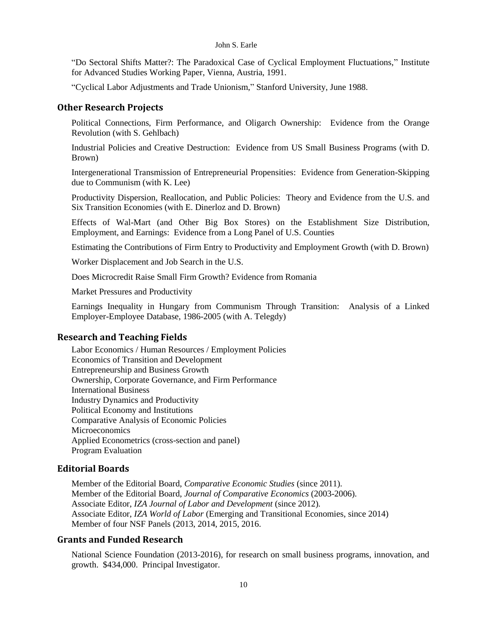"Do Sectoral Shifts Matter?: The Paradoxical Case of Cyclical Employment Fluctuations," Institute for Advanced Studies Working Paper, Vienna, Austria, 1991.

"Cyclical Labor Adjustments and Trade Unionism," Stanford University, June 1988.

### **Other Research Projects**

Political Connections, Firm Performance, and Oligarch Ownership: Evidence from the Orange Revolution (with S. Gehlbach)

Industrial Policies and Creative Destruction: Evidence from US Small Business Programs (with D. Brown)

Intergenerational Transmission of Entrepreneurial Propensities: Evidence from Generation-Skipping due to Communism (with K. Lee)

Productivity Dispersion, Reallocation, and Public Policies: Theory and Evidence from the U.S. and Six Transition Economies (with E. Dinerloz and D. Brown)

Effects of Wal-Mart (and Other Big Box Stores) on the Establishment Size Distribution, Employment, and Earnings: Evidence from a Long Panel of U.S. Counties

Estimating the Contributions of Firm Entry to Productivity and Employment Growth (with D. Brown)

Worker Displacement and Job Search in the U.S.

Does Microcredit Raise Small Firm Growth? Evidence from Romania

Market Pressures and Productivity

Earnings Inequality in Hungary from Communism Through Transition: Analysis of a Linked Employer-Employee Database, 1986-2005 (with A. Telegdy)

### **Research and Teaching Fields**

Labor Economics / Human Resources / Employment Policies Economics of Transition and Development Entrepreneurship and Business Growth Ownership, Corporate Governance, and Firm Performance International Business Industry Dynamics and Productivity Political Economy and Institutions Comparative Analysis of Economic Policies **Microeconomics** Applied Econometrics (cross-section and panel) Program Evaluation

### **Editorial Boards**

Member of the Editorial Board, *Comparative Economic Studies* (since 2011)*.* Member of the Editorial Board, *Journal of Comparative Economics* (2003-2006)*.* Associate Editor, *IZA Journal of Labor and Development* (since 2012)*.* Associate Editor, *IZA World of Labor* (Emerging and Transitional Economies, since 2014) Member of four NSF Panels (2013, 2014, 2015, 2016.

### **Grants and Funded Research**

National Science Foundation (2013-2016), for research on small business programs, innovation, and growth. \$434,000. Principal Investigator.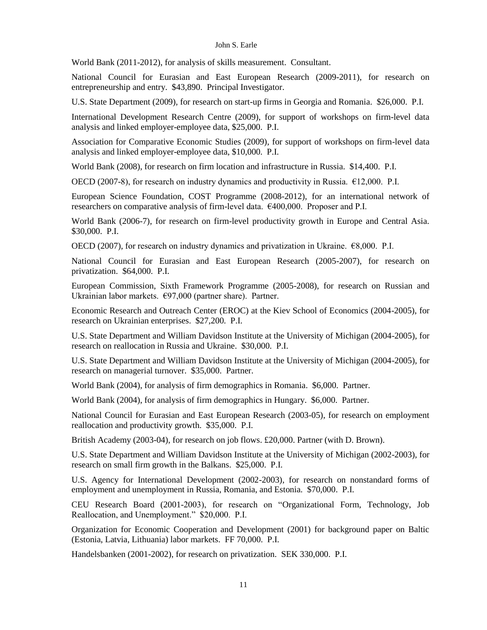World Bank (2011-2012), for analysis of skills measurement. Consultant.

National Council for Eurasian and East European Research (2009-2011), for research on entrepreneurship and entry. \$43,890. Principal Investigator.

U.S. State Department (2009), for research on start-up firms in Georgia and Romania. \$26,000. P.I.

International Development Research Centre (2009), for support of workshops on firm-level data analysis and linked employer-employee data, \$25,000. P.I.

Association for Comparative Economic Studies (2009), for support of workshops on firm-level data analysis and linked employer-employee data, \$10,000. P.I.

World Bank (2008), for research on firm location and infrastructure in Russia. \$14,400. P.I.

OECD (2007-8), for research on industry dynamics and productivity in Russia.  $\epsilon$ 12,000. P.I.

European Science Foundation, COST Programme (2008-2012), for an international network of researchers on comparative analysis of firm-level data. €400,000. Proposer and P.I.

World Bank (2006-7), for research on firm-level productivity growth in Europe and Central Asia. \$30,000. P.I.

OECD (2007), for research on industry dynamics and privatization in Ukraine. €8,000. P.I.

National Council for Eurasian and East European Research (2005-2007), for research on privatization. \$64,000. P.I.

European Commission, Sixth Framework Programme (2005-2008), for research on Russian and Ukrainian labor markets. €97,000 (partner share). Partner.

Economic Research and Outreach Center (EROC) at the Kiev School of Economics (2004-2005), for research on Ukrainian enterprises. \$27,200. P.I.

U.S. State Department and William Davidson Institute at the University of Michigan (2004-2005), for research on reallocation in Russia and Ukraine. \$30,000. P.I.

U.S. State Department and William Davidson Institute at the University of Michigan (2004-2005), for research on managerial turnover. \$35,000. Partner.

World Bank (2004), for analysis of firm demographics in Romania. \$6,000. Partner.

World Bank (2004), for analysis of firm demographics in Hungary. \$6,000. Partner.

National Council for Eurasian and East European Research (2003-05), for research on employment reallocation and productivity growth. \$35,000. P.I.

British Academy (2003-04), for research on job flows. £20,000. Partner (with D. Brown).

U.S. State Department and William Davidson Institute at the University of Michigan (2002-2003), for research on small firm growth in the Balkans. \$25,000. P.I.

U.S. Agency for International Development (2002-2003), for research on nonstandard forms of employment and unemployment in Russia, Romania, and Estonia. \$70,000. P.I.

CEU Research Board (2001-2003), for research on "Organizational Form, Technology, Job Reallocation, and Unemployment." \$20,000. P.I.

Organization for Economic Cooperation and Development (2001) for background paper on Baltic (Estonia, Latvia, Lithuania) labor markets. FF 70,000. P.I.

Handelsbanken (2001-2002), for research on privatization. SEK 330,000. P.I.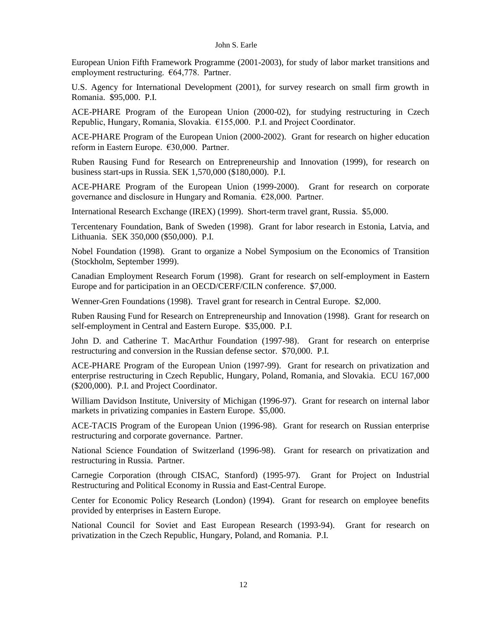European Union Fifth Framework Programme (2001-2003), for study of labor market transitions and employment restructuring. €64,778. Partner.

U.S. Agency for International Development (2001), for survey research on small firm growth in Romania. \$95,000. P.I.

ACE-PHARE Program of the European Union (2000-02), for studying restructuring in Czech Republic, Hungary, Romania, Slovakia. €155,000. P.I. and Project Coordinator.

ACE-PHARE Program of the European Union (2000-2002). Grant for research on higher education reform in Eastern Europe. €30,000. Partner.

Ruben Rausing Fund for Research on Entrepreneurship and Innovation (1999), for research on business start-ups in Russia. SEK 1,570,000 (\$180,000). P.I.

ACE-PHARE Program of the European Union (1999-2000). Grant for research on corporate governance and disclosure in Hungary and Romania. €28,000. Partner.

International Research Exchange (IREX) (1999). Short-term travel grant, Russia. \$5,000.

Tercentenary Foundation, Bank of Sweden (1998). Grant for labor research in Estonia, Latvia, and Lithuania. SEK 350,000 (\$50,000). P.I.

Nobel Foundation (1998). Grant to organize a Nobel Symposium on the Economics of Transition (Stockholm, September 1999).

Canadian Employment Research Forum (1998). Grant for research on self-employment in Eastern Europe and for participation in an OECD/CERF/CILN conference. \$7,000.

Wenner-Gren Foundations (1998). Travel grant for research in Central Europe. \$2,000.

Ruben Rausing Fund for Research on Entrepreneurship and Innovation (1998). Grant for research on self-employment in Central and Eastern Europe. \$35,000. P.I.

John D. and Catherine T. MacArthur Foundation (1997-98). Grant for research on enterprise restructuring and conversion in the Russian defense sector. \$70,000. P.I.

ACE-PHARE Program of the European Union (1997-99). Grant for research on privatization and enterprise restructuring in Czech Republic, Hungary, Poland, Romania, and Slovakia. ECU 167,000 (\$200,000). P.I. and Project Coordinator.

William Davidson Institute, University of Michigan (1996-97). Grant for research on internal labor markets in privatizing companies in Eastern Europe. \$5,000.

ACE-TACIS Program of the European Union (1996-98). Grant for research on Russian enterprise restructuring and corporate governance. Partner.

National Science Foundation of Switzerland (1996-98). Grant for research on privatization and restructuring in Russia. Partner.

Carnegie Corporation (through CISAC, Stanford) (1995-97). Grant for Project on Industrial Restructuring and Political Economy in Russia and East-Central Europe.

Center for Economic Policy Research (London) (1994). Grant for research on employee benefits provided by enterprises in Eastern Europe.

National Council for Soviet and East European Research (1993-94). Grant for research on privatization in the Czech Republic, Hungary, Poland, and Romania. P.I.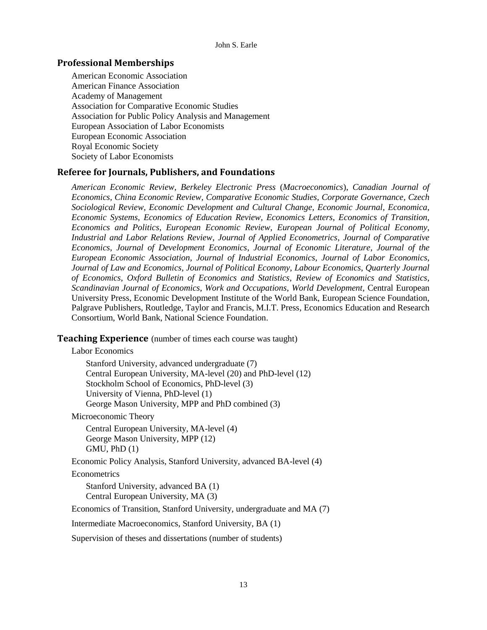### **Professional Memberships**

American Economic Association American Finance Association Academy of Management Association for Comparative Economic Studies Association for Public Policy Analysis and Management European Association of Labor Economists European Economic Association Royal Economic Society Society of Labor Economists

### **Referee for Journals, Publishers, and Foundations**

*American Economic Review*, *Berkeley Electronic Press* (*Macroeconomics*), *Canadian Journal of Economics, China Economic Review, Comparative Economic Studies*, *Corporate Governance, Czech Sociological Review*, *Economic Development and Cultural Change, Economic Journal, Economica*, *Economic Systems*, *Economics of Education Review, Economics Letters*, *Economics of Transition*, *Economics and Politics*, *European Economic Review*, *European Journal of Political Economy*, *Industrial and Labor Relations Review*, *Journal of Applied Econometrics*, *Journal of Comparative Economics*, *Journal of Development Economics*, *Journal of Economic Literature*, *Journal of the European Economic Association, Journal of Industrial Economics*, *Journal of Labor Economics*, *Journal of Law and Economics, Journal of Political Economy*, *Labour Economics*, *Quarterly Journal of Economics*, *Oxford Bulletin of Economics and Statistics, Review of Economics and Statistics*, *Scandinavian Journal of Economics*, *Work and Occupations*, *World Development,* Central European University Press, Economic Development Institute of the World Bank, European Science Foundation, Palgrave Publishers, Routledge, Taylor and Francis, M.I.T. Press, Economics Education and Research Consortium, World Bank, National Science Foundation.

**Teaching Experience** (number of times each course was taught)

Labor Economics

Stanford University, advanced undergraduate (7) Central European University, MA-level (20) and PhD-level (12) Stockholm School of Economics, PhD-level (3) University of Vienna, PhD-level (1) George Mason University, MPP and PhD combined (3)

Microeconomic Theory

Central European University, MA-level (4) George Mason University, MPP (12) GMU, PhD (1)

Economic Policy Analysis, Stanford University, advanced BA-level (4)

**Econometrics** 

Stanford University, advanced BA (1) Central European University, MA (3)

Economics of Transition, Stanford University, undergraduate and MA (7)

Intermediate Macroeconomics, Stanford University, BA (1)

Supervision of theses and dissertations (number of students)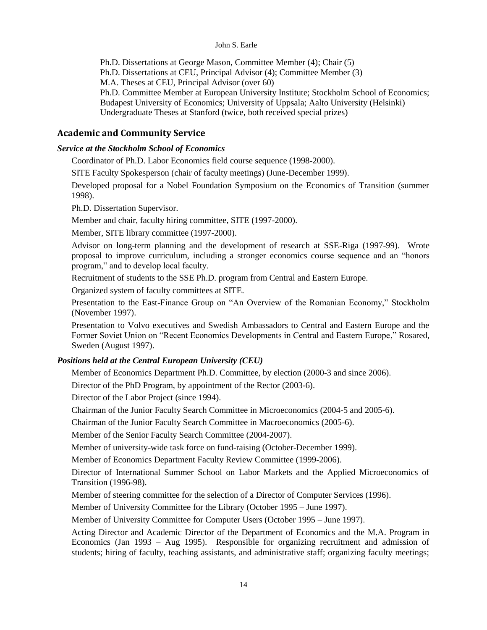Ph.D. Dissertations at George Mason, Committee Member (4); Chair (5)

Ph.D. Dissertations at CEU, Principal Advisor (4); Committee Member (3)

M.A. Theses at CEU, Principal Advisor (over 60)

Ph.D. Committee Member at European University Institute; Stockholm School of Economics; Budapest University of Economics; University of Uppsala; Aalto University (Helsinki) Undergraduate Theses at Stanford (twice, both received special prizes)

## **Academic and Community Service**

### *Service at the Stockholm School of Economics*

Coordinator of Ph.D. Labor Economics field course sequence (1998-2000).

SITE Faculty Spokesperson (chair of faculty meetings) (June-December 1999).

Developed proposal for a Nobel Foundation Symposium on the Economics of Transition (summer 1998).

Ph.D. Dissertation Supervisor.

Member and chair, faculty hiring committee, SITE (1997-2000).

Member, SITE library committee (1997-2000).

Advisor on long-term planning and the development of research at SSE-Riga (1997-99). Wrote proposal to improve curriculum, including a stronger economics course sequence and an "honors program," and to develop local faculty.

Recruitment of students to the SSE Ph.D. program from Central and Eastern Europe.

Organized system of faculty committees at SITE.

Presentation to the East-Finance Group on "An Overview of the Romanian Economy," Stockholm (November 1997).

Presentation to Volvo executives and Swedish Ambassadors to Central and Eastern Europe and the Former Soviet Union on "Recent Economics Developments in Central and Eastern Europe," Rosared, Sweden (August 1997).

## *Positions held at the Central European University (CEU)*

Member of Economics Department Ph.D. Committee, by election (2000-3 and since 2006).

Director of the PhD Program, by appointment of the Rector (2003-6).

Director of the Labor Project (since 1994).

Chairman of the Junior Faculty Search Committee in Microeconomics (2004-5 and 2005-6).

Chairman of the Junior Faculty Search Committee in Macroeconomics (2005-6).

Member of the Senior Faculty Search Committee (2004-2007).

Member of university-wide task force on fund-raising (October-December 1999).

Member of Economics Department Faculty Review Committee (1999-2006).

Director of International Summer School on Labor Markets and the Applied Microeconomics of Transition (1996-98).

Member of steering committee for the selection of a Director of Computer Services (1996).

Member of University Committee for the Library (October 1995 – June 1997).

Member of University Committee for Computer Users (October 1995 – June 1997).

Acting Director and Academic Director of the Department of Economics and the M.A. Program in Economics (Jan 1993 – Aug 1995). Responsible for organizing recruitment and admission of students; hiring of faculty, teaching assistants, and administrative staff; organizing faculty meetings;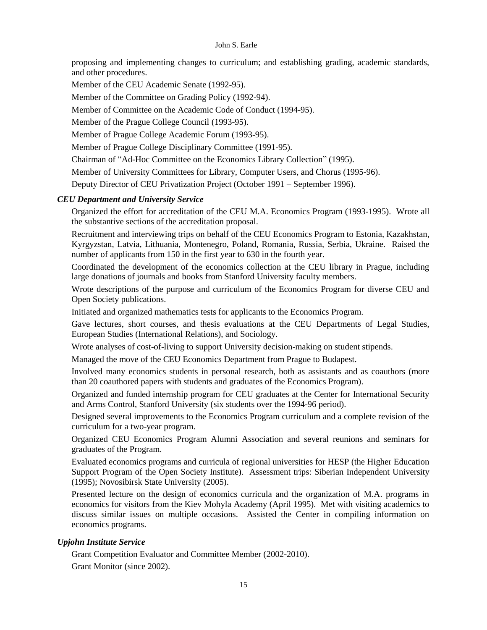proposing and implementing changes to curriculum; and establishing grading, academic standards, and other procedures.

Member of the CEU Academic Senate (1992-95).

Member of the Committee on Grading Policy (1992-94).

Member of Committee on the Academic Code of Conduct (1994-95).

Member of the Prague College Council (1993-95).

Member of Prague College Academic Forum (1993-95).

Member of Prague College Disciplinary Committee (1991-95).

Chairman of "Ad-Hoc Committee on the Economics Library Collection" (1995).

Member of University Committees for Library, Computer Users, and Chorus (1995-96).

Deputy Director of CEU Privatization Project (October 1991 – September 1996).

### *CEU Department and University Service*

Organized the effort for accreditation of the CEU M.A. Economics Program (1993-1995). Wrote all the substantive sections of the accreditation proposal.

Recruitment and interviewing trips on behalf of the CEU Economics Program to Estonia, Kazakhstan, Kyrgyzstan, Latvia, Lithuania, Montenegro, Poland, Romania, Russia, Serbia, Ukraine. Raised the number of applicants from 150 in the first year to 630 in the fourth year.

Coordinated the development of the economics collection at the CEU library in Prague, including large donations of journals and books from Stanford University faculty members.

Wrote descriptions of the purpose and curriculum of the Economics Program for diverse CEU and Open Society publications.

Initiated and organized mathematics tests for applicants to the Economics Program.

Gave lectures, short courses, and thesis evaluations at the CEU Departments of Legal Studies, European Studies (International Relations), and Sociology.

Wrote analyses of cost-of-living to support University decision-making on student stipends.

Managed the move of the CEU Economics Department from Prague to Budapest.

Involved many economics students in personal research, both as assistants and as coauthors (more than 20 coauthored papers with students and graduates of the Economics Program).

Organized and funded internship program for CEU graduates at the Center for International Security and Arms Control, Stanford University (six students over the 1994-96 period).

Designed several improvements to the Economics Program curriculum and a complete revision of the curriculum for a two-year program.

Organized CEU Economics Program Alumni Association and several reunions and seminars for graduates of the Program.

Evaluated economics programs and curricula of regional universities for HESP (the Higher Education Support Program of the Open Society Institute). Assessment trips: Siberian Independent University (1995); Novosibirsk State University (2005).

Presented lecture on the design of economics curricula and the organization of M.A. programs in economics for visitors from the Kiev Mohyla Academy (April 1995). Met with visiting academics to discuss similar issues on multiple occasions. Assisted the Center in compiling information on economics programs.

### *Upjohn Institute Service*

Grant Competition Evaluator and Committee Member (2002-2010). Grant Monitor (since 2002).